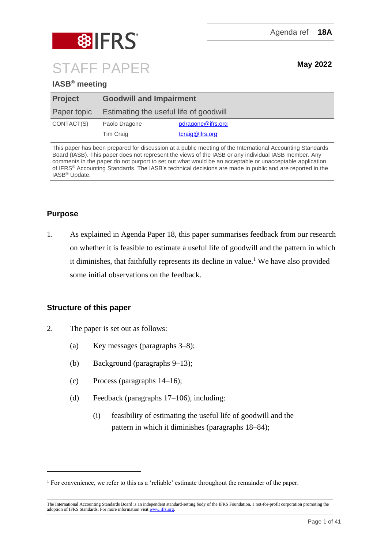



# STAFF PAPER **May <sup>2022</sup>**

# **IASB® meeting**

| <b>Project</b> | <b>Goodwill and Impairment</b>         |                   |  |  |
|----------------|----------------------------------------|-------------------|--|--|
| Paper topic    | Estimating the useful life of goodwill |                   |  |  |
| CONTACT(S)     | Paolo Dragone                          | pdragone@ifrs.org |  |  |
|                | Tim Craig                              | tcraig@ifrs.org   |  |  |

This paper has been prepared for discussion at a public meeting of the International Accounting Standards Board (IASB). This paper does not represent the views of the IASB or any individual IASB member. Any comments in the paper do not purport to set out what would be an acceptable or unacceptable application of IFRS® Accounting Standards. The IASB's technical decisions are made in public and are reported in the IASB® Update.

# **Purpose**

1. As explained in Agenda Paper 18, this paper summarises feedback from our research on whether it is feasible to estimate a useful life of goodwill and the pattern in which it diminishes, that faithfully represents its decline in value. <sup>1</sup> We have also provided some initial observations on the feedback.

# **Structure of this paper**

- 2. The paper is set out as follows:
	- (a) Key messages (paragraphs [3–](#page-1-0)[8\)](#page-2-0);
	- (b) Background (paragraphs [9](#page-2-1)[–13\)](#page-4-0);
	- (c) Process (paragraphs [14](#page-4-1)[–16\)](#page-5-0);
	- (d) Feedback (paragraphs [17](#page-5-1)[–106\)](#page-29-0), including:
		- (i) feasibility of estimating the useful life of goodwill and the pattern in which it diminishes (paragraphs [18](#page-5-2)[–84\)](#page-23-0);

<sup>&</sup>lt;sup>1</sup> For convenience, we refer to this as a 'reliable' estimate throughout the remainder of the paper.

The International Accounting Standards Board is an independent standard-setting body of the IFRS Foundation, a not-for-profit corporation promoting the adoption of IFRS Standards. For more information visit [www.ifrs.org.](http://www.ifrs.org/)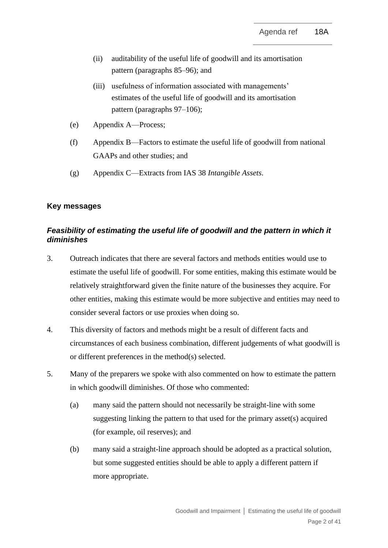- (ii) auditability of the useful life of goodwill and its amortisation pattern (paragraphs [85](#page-23-1)[–96\)](#page-26-0); and
- (iii) usefulness of information associated with managements' estimates of the useful life of goodwill and its amortisation pattern (paragraphs [97](#page-26-1)[–106\)](#page-29-0);
- (e) Appendix A—Process;
- (f) Appendix B—Factors to estimate the useful life of goodwill from national GAAPs and other studies; and
- (g) Appendix C—Extracts from IAS 38 *Intangible Assets*.

# **Key messages**

# *Feasibility of estimating the useful life of goodwill and the pattern in which it diminishes*

- <span id="page-1-0"></span>3. Outreach indicates that there are several factors and methods entities would use to estimate the useful life of goodwill. For some entities, making this estimate would be relatively straightforward given the finite nature of the businesses they acquire. For other entities, making this estimate would be more subjective and entities may need to consider several factors or use proxies when doing so.
- 4. This diversity of factors and methods might be a result of different facts and circumstances of each business combination, different judgements of what goodwill is or different preferences in the method(s) selected.
- 5. Many of the preparers we spoke with also commented on how to estimate the pattern in which goodwill diminishes. Of those who commented:
	- (a) many said the pattern should not necessarily be straight-line with some suggesting linking the pattern to that used for the primary asset(s) acquired (for example, oil reserves); and
	- (b) many said a straight-line approach should be adopted as a practical solution, but some suggested entities should be able to apply a different pattern if more appropriate.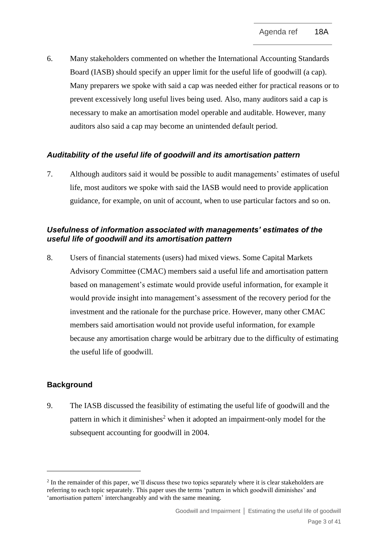6. Many stakeholders commented on whether the International Accounting Standards Board (IASB) should specify an upper limit for the useful life of goodwill (a cap). Many preparers we spoke with said a cap was needed either for practical reasons or to prevent excessively long useful lives being used. Also, many auditors said a cap is necessary to make an amortisation model operable and auditable. However, many auditors also said a cap may become an unintended default period.

# *Auditability of the useful life of goodwill and its amortisation pattern*

7. Although auditors said it would be possible to audit managements' estimates of useful life, most auditors we spoke with said the IASB would need to provide application guidance, for example, on unit of account, when to use particular factors and so on.

# *Usefulness of information associated with managements' estimates of the useful life of goodwill and its amortisation pattern*

<span id="page-2-0"></span>8. Users of financial statements (users) had mixed views. Some Capital Markets Advisory Committee (CMAC) members said a useful life and amortisation pattern based on management's estimate would provide useful information, for example it would provide insight into management's assessment of the recovery period for the investment and the rationale for the purchase price. However, many other CMAC members said amortisation would not provide useful information, for example because any amortisation charge would be arbitrary due to the difficulty of estimating the useful life of goodwill.

#### **Background**

<span id="page-2-1"></span>9. The IASB discussed the feasibility of estimating the useful life of goodwill and the pattern in which it diminishes<sup>2</sup> when it adopted an impairment-only model for the subsequent accounting for goodwill in 2004.

<sup>&</sup>lt;sup>2</sup> In the remainder of this paper, we'll discuss these two topics separately where it is clear stakeholders are referring to each topic separately. This paper uses the terms 'pattern in which goodwill diminishes' and 'amortisation pattern' interchangeably and with the same meaning.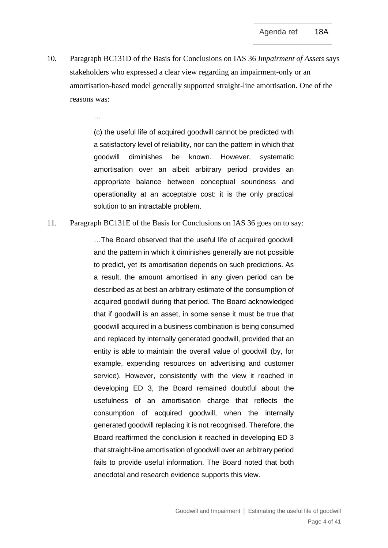<span id="page-3-0"></span>10. Paragraph BC131D of the Basis for Conclusions on IAS 36 *Impairment of Assets* says stakeholders who expressed a clear view regarding an impairment-only or an amortisation-based model generally supported straight-line amortisation. One of the reasons was:

> (c) the useful life of acquired goodwill cannot be predicted with a satisfactory level of reliability, nor can the pattern in which that goodwill diminishes be known. However, systematic amortisation over an albeit arbitrary period provides an appropriate balance between conceptual soundness and operationality at an acceptable cost: it is the only practical solution to an intractable problem.

#### <span id="page-3-1"></span>11. Paragraph BC131E of the Basis for Conclusions on IAS 36 goes on to say:

…

…The Board observed that the useful life of acquired goodwill and the pattern in which it diminishes generally are not possible to predict, yet its amortisation depends on such predictions. As a result, the amount amortised in any given period can be described as at best an arbitrary estimate of the consumption of acquired goodwill during that period. The Board acknowledged that if goodwill is an asset, in some sense it must be true that goodwill acquired in a business combination is being consumed and replaced by internally generated goodwill, provided that an entity is able to maintain the overall value of goodwill (by, for example, expending resources on advertising and customer service). However, consistently with the view it reached in developing ED 3, the Board remained doubtful about the usefulness of an amortisation charge that reflects the consumption of acquired goodwill, when the internally generated goodwill replacing it is not recognised. Therefore, the Board reaffirmed the conclusion it reached in developing ED 3 that straight-line amortisation of goodwill over an arbitrary period fails to provide useful information. The Board noted that both anecdotal and research evidence supports this view.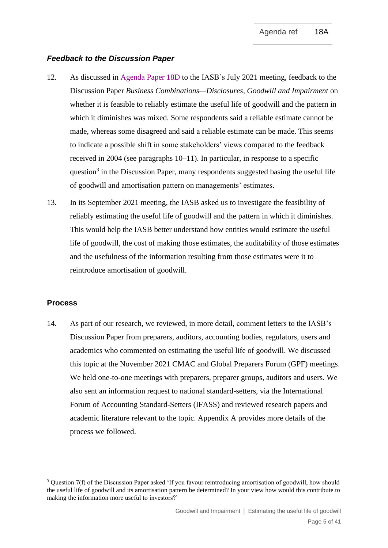## *Feedback to the Discussion Paper*

- 12. As discussed in [Agenda Paper 18D](https://www.ifrs.org/content/dam/ifrs/meetings/2021/july/iasb/ap18d-subsequent-accounting-for-goodwill.pdf) to the IASB's July 2021 meeting, feedback to the Discussion Paper *Business Combinations—Disclosures, Goodwill and Impairment* on whether it is feasible to reliably estimate the useful life of goodwill and the pattern in which it diminishes was mixed. Some respondents said a reliable estimate cannot be made, whereas some disagreed and said a reliable estimate can be made. This seems to indicate a possible shift in some stakeholders' views compared to the feedback received in 2004 (see paragraphs [10–](#page-3-0)[11\)](#page-3-1). In particular, in response to a specific question<sup>3</sup> in the Discussion Paper, many respondents suggested basing the useful life of goodwill and amortisation pattern on managements' estimates.
- <span id="page-4-0"></span>13. In its September 2021 meeting, the IASB asked us to investigate the feasibility of reliably estimating the useful life of goodwill and the pattern in which it diminishes. This would help the IASB better understand how entities would estimate the useful life of goodwill, the cost of making those estimates, the auditability of those estimates and the usefulness of the information resulting from those estimates were it to reintroduce amortisation of goodwill.

#### **Process**

<span id="page-4-1"></span>14. As part of our research, we reviewed, in more detail, comment letters to the IASB's Discussion Paper from preparers, auditors, accounting bodies, regulators, users and academics who commented on estimating the useful life of goodwill. We discussed this topic at the November 2021 CMAC and Global Preparers Forum (GPF) meetings. We held one-to-one meetings with preparers, preparer groups, auditors and users. We also sent an information request to national standard-setters, via the International Forum of Accounting Standard-Setters (IFASS) and reviewed research papers and academic literature relevant to the topic. Appendix A provides more details of the process we followed.

<sup>3</sup> Question 7(f) of the Discussion Paper asked 'If you favour reintroducing amortisation of goodwill, how should the useful life of goodwill and its amortisation pattern be determined? In your view how would this contribute to making the information more useful to investors?'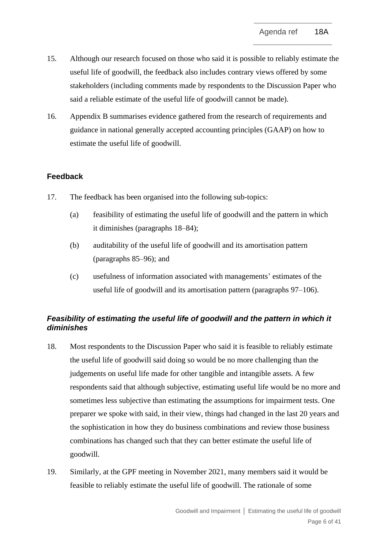- <span id="page-5-3"></span>15. Although our research focused on those who said it is possible to reliably estimate the useful life of goodwill, the feedback also includes contrary views offered by some stakeholders (including comments made by respondents to the Discussion Paper who said a reliable estimate of the useful life of goodwill cannot be made).
- <span id="page-5-0"></span>16. Appendix B summarises evidence gathered from the research of requirements and guidance in national generally accepted accounting principles (GAAP) on how to estimate the useful life of goodwill.

# **Feedback**

- <span id="page-5-1"></span>17. The feedback has been organised into the following sub-topics:
	- (a) feasibility of estimating the useful life of goodwill and the pattern in which it diminishes (paragraphs [18](#page-5-2)[–84\)](#page-23-0);
	- (b) auditability of the useful life of goodwill and its amortisation pattern (paragraphs [85–](#page-23-1)[96\)](#page-26-0); and
	- (c) usefulness of information associated with managements' estimates of the useful life of goodwill and its amortisation pattern (paragraphs [97–](#page-26-1)[106\)](#page-29-0).

# *Feasibility of estimating the useful life of goodwill and the pattern in which it diminishes*

- <span id="page-5-2"></span>18. Most respondents to the Discussion Paper who said it is feasible to reliably estimate the useful life of goodwill said doing so would be no more challenging than the judgements on useful life made for other tangible and intangible assets. A few respondents said that although subjective, estimating useful life would be no more and sometimes less subjective than estimating the assumptions for impairment tests. One preparer we spoke with said, in their view, things had changed in the last 20 years and the sophistication in how they do business combinations and review those business combinations has changed such that they can better estimate the useful life of goodwill.
- 19. Similarly, at the GPF meeting in November 2021, many members said it would be feasible to reliably estimate the useful life of goodwill. The rationale of some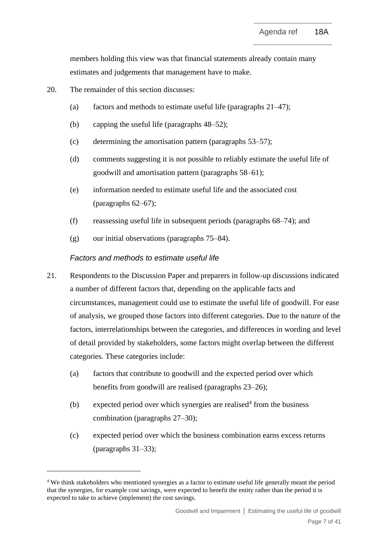members holding this view was that financial statements already contain many estimates and judgements that management have to make.

- 20. The remainder of this section discusses:
	- (a) factors and methods to estimate useful life (paragraphs [21–](#page-6-0)[47\)](#page-13-0);
	- (b) capping the useful life (paragraphs [48](#page-14-0)[–52\)](#page-15-0);
	- (c) determining the amortisation pattern (paragraphs [53](#page-15-1)[–57\)](#page-16-0);
	- (d) comments suggesting it is not possible to reliably estimate the useful life of goodwill and amortisation pattern (paragraphs [58–](#page-16-1)[61\)](#page-17-0);
	- (e) information needed to estimate useful life and the associated cost (paragraphs [62–](#page-18-0)[67\)](#page-19-0);
	- (f) reassessing useful life in subsequent periods (paragraphs [68–](#page-19-1)[74\)](#page-20-0); and
	- $(g)$  our initial observations (paragraphs [75](#page-20-1)[–84\)](#page-23-0).

## *Factors and methods to estimate useful life*

- <span id="page-6-0"></span>21. Respondents to the Discussion Paper and preparers in follow-up discussions indicated a number of different factors that, depending on the applicable facts and circumstances, management could use to estimate the useful life of goodwill. For ease of analysis, we grouped those factors into different categories. Due to the nature of the factors, interrelationships between the categories, and differences in wording and level of detail provided by stakeholders, some factors might overlap between the different categories. These categories include:
	- (a) factors that contribute to goodwill and the expected period over which benefits from goodwill are realised (paragraphs [23](#page-7-0)[–26\)](#page-8-0);
	- (b) expected period over which synergies are realised<sup>4</sup> from the business combination (paragraphs [27](#page-8-1)[–30\)](#page-9-0);
	- (c) expected period over which the business combination earns excess returns (paragraphs [31–](#page-9-1)[33\)](#page-10-0);

<sup>4</sup> We think stakeholders who mentioned synergies as a factor to estimate useful life generally meant the period that the synergies, for example cost savings, were expected to benefit the entity rather than the period it is expected to take to achieve (implement) the cost savings.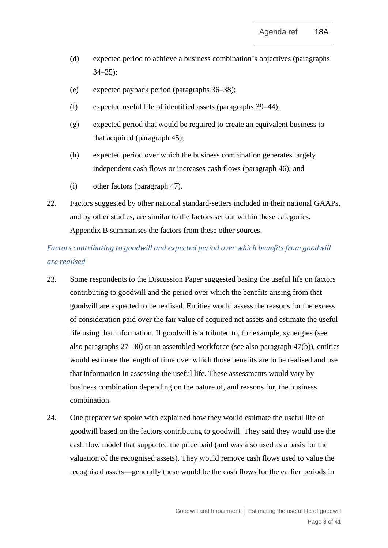- (d) expected period to achieve a business combination's objectives (paragraphs  $34 - 35$ ;
- (e) expected payback period (paragraphs [36–](#page-11-0)[38\)](#page-11-1);
- (f) expected useful life of identified assets (paragraphs [39](#page-11-2)[–44\)](#page-12-0);
- (g) expected period that would be required to create an equivalent business to that acquired (paragraph [45\)](#page-12-1);
- (h) expected period over which the business combination generates largely independent cash flows or increases cash flows (paragraph [46\)](#page-13-1); and
- (i) other factors (paragraph [47\)](#page-13-0).
- 22. Factors suggested by other national standard-setters included in their national GAAPs, and by other studies, are similar to the factors set out within these categories. Appendix B summarises the factors from these other sources.

# *Factors contributing to goodwill and expected period over which benefits from goodwill are realised*

- <span id="page-7-0"></span>23. Some respondents to the Discussion Paper suggested basing the useful life on factors contributing to goodwill and the period over which the benefits arising from that goodwill are expected to be realised. Entities would assess the reasons for the excess of consideration paid over the fair value of acquired net assets and estimate the useful life using that information. If goodwill is attributed to, for example, synergies (see also paragraphs [27–](#page-8-1)[30\)](#page-9-0) or an assembled workforce (see also paragraph 4[7\(b\)\)](#page-13-2), entities would estimate the length of time over which those benefits are to be realised and use that information in assessing the useful life. These assessments would vary by business combination depending on the nature of, and reasons for, the business combination.
- <span id="page-7-1"></span>24. One preparer we spoke with explained how they would estimate the useful life of goodwill based on the factors contributing to goodwill. They said they would use the cash flow model that supported the price paid (and was also used as a basis for the valuation of the recognised assets). They would remove cash flows used to value the recognised assets—generally these would be the cash flows for the earlier periods in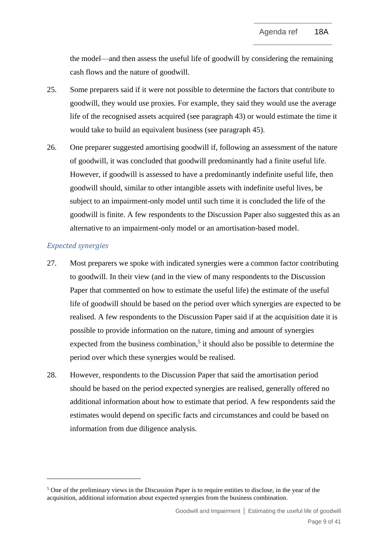the model—and then assess the useful life of goodwill by considering the remaining cash flows and the nature of goodwill.

- 25. Some preparers said if it were not possible to determine the factors that contribute to goodwill, they would use proxies. For example, they said they would use the average life of the recognised assets acquired (see paragraph [43\)](#page-12-2) or would estimate the time it would take to build an equivalent business (see paragraph [45\)](#page-12-1).
- <span id="page-8-0"></span>26. One preparer suggested amortising goodwill if, following an assessment of the nature of goodwill, it was concluded that goodwill predominantly had a finite useful life. However, if goodwill is assessed to have a predominantly indefinite useful life, then goodwill should, similar to other intangible assets with indefinite useful lives, be subject to an impairment-only model until such time it is concluded the life of the goodwill is finite. A few respondents to the Discussion Paper also suggested this as an alternative to an impairment-only model or an amortisation-based model.

## *Expected synergies*

- <span id="page-8-1"></span>27. Most preparers we spoke with indicated synergies were a common factor contributing to goodwill. In their view (and in the view of many respondents to the Discussion Paper that commented on how to estimate the useful life) the estimate of the useful life of goodwill should be based on the period over which synergies are expected to be realised. A few respondents to the Discussion Paper said if at the acquisition date it is possible to provide information on the nature, timing and amount of synergies expected from the business combination,<sup>5</sup> it should also be possible to determine the period over which these synergies would be realised.
- 28. However, respondents to the Discussion Paper that said the amortisation period should be based on the period expected synergies are realised, generally offered no additional information about how to estimate that period. A few respondents said the estimates would depend on specific facts and circumstances and could be based on information from due diligence analysis.

<sup>&</sup>lt;sup>5</sup> One of the preliminary views in the Discussion Paper is to require entities to disclose, in the year of the acquisition, additional information about expected synergies from the business combination.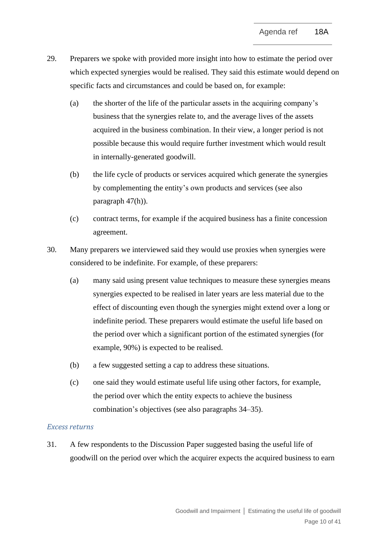- 29. Preparers we spoke with provided more insight into how to estimate the period over which expected synergies would be realised. They said this estimate would depend on specific facts and circumstances and could be based on, for example:
	- (a) the shorter of the life of the particular assets in the acquiring company's business that the synergies relate to, and the average lives of the assets acquired in the business combination. In their view, a longer period is not possible because this would require further investment which would result in internally-generated goodwill.
	- (b) the life cycle of products or services acquired which generate the synergies by complementing the entity's own products and services (see also paragraph 4[7\(h\)\)](#page-14-1).
	- (c) contract terms, for example if the acquired business has a finite concession agreement.
- <span id="page-9-2"></span><span id="page-9-0"></span>30. Many preparers we interviewed said they would use proxies when synergies were considered to be indefinite. For example, of these preparers:
	- (a) many said using present value techniques to measure these synergies means synergies expected to be realised in later years are less material due to the effect of discounting even though the synergies might extend over a long or indefinite period. These preparers would estimate the useful life based on the period over which a significant portion of the estimated synergies (for example, 90%) is expected to be realised.
	- (b) a few suggested setting a cap to address these situations.
	- (c) one said they would estimate useful life using other factors, for example, the period over which the entity expects to achieve the business combination's objectives (see also paragraphs [34](#page-10-1)[–35\)](#page-10-2).

#### *Excess returns*

<span id="page-9-1"></span>31. A few respondents to the Discussion Paper suggested basing the useful life of goodwill on the period over which the acquirer expects the acquired business to earn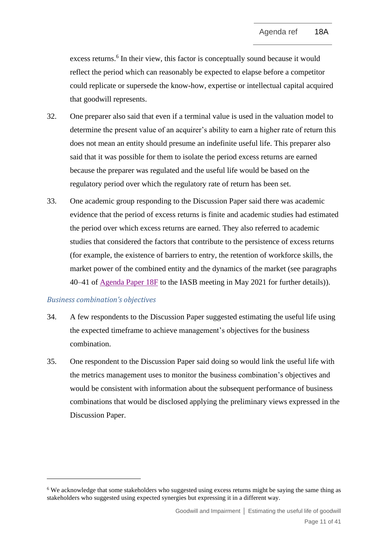excess returns.<sup>6</sup> In their view, this factor is conceptually sound because it would reflect the period which can reasonably be expected to elapse before a competitor could replicate or supersede the know-how, expertise or intellectual capital acquired that goodwill represents.

- 32. One preparer also said that even if a terminal value is used in the valuation model to determine the present value of an acquirer's ability to earn a higher rate of return this does not mean an entity should presume an indefinite useful life. This preparer also said that it was possible for them to isolate the period excess returns are earned because the preparer was regulated and the useful life would be based on the regulatory period over which the regulatory rate of return has been set.
- <span id="page-10-0"></span>33. One academic group responding to the Discussion Paper said there was academic evidence that the period of excess returns is finite and academic studies had estimated the period over which excess returns are earned. They also referred to academic studies that considered the factors that contribute to the persistence of excess returns (for example, the existence of barriers to entry, the retention of workforce skills, the market power of the combined entity and the dynamics of the market (see paragraphs 40–41 of [Agenda Paper 18F](https://www.ifrs.org/content/dam/ifrs/meetings/2021/may/iasb/ap18f-academic-evidence.pdf) to the IASB meeting in May 2021 for further details)).

#### *Business combination's objectives*

- <span id="page-10-1"></span>34. A few respondents to the Discussion Paper suggested estimating the useful life using the expected timeframe to achieve management's objectives for the business combination.
- <span id="page-10-2"></span>35. One respondent to the Discussion Paper said doing so would link the useful life with the metrics management uses to monitor the business combination's objectives and would be consistent with information about the subsequent performance of business combinations that would be disclosed applying the preliminary views expressed in the Discussion Paper.

<sup>&</sup>lt;sup>6</sup> We acknowledge that some stakeholders who suggested using excess returns might be saying the same thing as stakeholders who suggested using expected synergies but expressing it in a different way.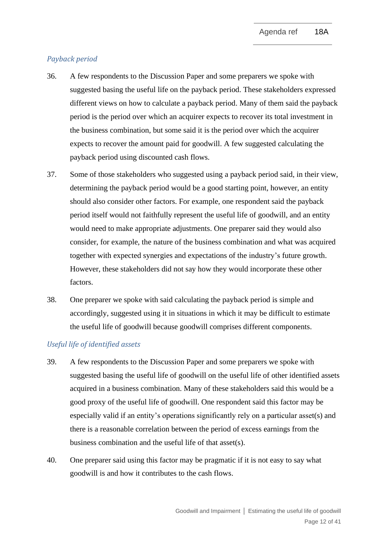## *Payback period*

- <span id="page-11-0"></span>36. A few respondents to the Discussion Paper and some preparers we spoke with suggested basing the useful life on the payback period. These stakeholders expressed different views on how to calculate a payback period. Many of them said the payback period is the period over which an acquirer expects to recover its total investment in the business combination, but some said it is the period over which the acquirer expects to recover the amount paid for goodwill. A few suggested calculating the payback period using discounted cash flows.
- 37. Some of those stakeholders who suggested using a payback period said, in their view, determining the payback period would be a good starting point, however, an entity should also consider other factors. For example, one respondent said the payback period itself would not faithfully represent the useful life of goodwill, and an entity would need to make appropriate adjustments. One preparer said they would also consider, for example, the nature of the business combination and what was acquired together with expected synergies and expectations of the industry's future growth. However, these stakeholders did not say how they would incorporate these other factors.
- <span id="page-11-1"></span>38. One preparer we spoke with said calculating the payback period is simple and accordingly, suggested using it in situations in which it may be difficult to estimate the useful life of goodwill because goodwill comprises different components.

#### *Useful life of identified assets*

- <span id="page-11-2"></span>39. A few respondents to the Discussion Paper and some preparers we spoke with suggested basing the useful life of goodwill on the useful life of other identified assets acquired in a business combination. Many of these stakeholders said this would be a good proxy of the useful life of goodwill. One respondent said this factor may be especially valid if an entity's operations significantly rely on a particular asset(s) and there is a reasonable correlation between the period of excess earnings from the business combination and the useful life of that asset(s).
- 40. One preparer said using this factor may be pragmatic if it is not easy to say what goodwill is and how it contributes to the cash flows.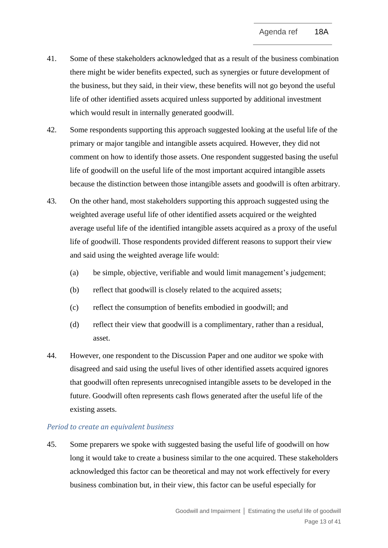- 41. Some of these stakeholders acknowledged that as a result of the business combination there might be wider benefits expected, such as synergies or future development of the business, but they said, in their view, these benefits will not go beyond the useful life of other identified assets acquired unless supported by additional investment which would result in internally generated goodwill.
- 42. Some respondents supporting this approach suggested looking at the useful life of the primary or major tangible and intangible assets acquired. However, they did not comment on how to identify those assets. One respondent suggested basing the useful life of goodwill on the useful life of the most important acquired intangible assets because the distinction between those intangible assets and goodwill is often arbitrary.
- <span id="page-12-2"></span>43. On the other hand, most stakeholders supporting this approach suggested using the weighted average useful life of other identified assets acquired or the weighted average useful life of the identified intangible assets acquired as a proxy of the useful life of goodwill. Those respondents provided different reasons to support their view and said using the weighted average life would:
	- (a) be simple, objective, verifiable and would limit management's judgement;
	- (b) reflect that goodwill is closely related to the acquired assets;
	- (c) reflect the consumption of benefits embodied in goodwill; and
	- (d) reflect their view that goodwill is a complimentary, rather than a residual, asset.
- <span id="page-12-0"></span>44. However, one respondent to the Discussion Paper and one auditor we spoke with disagreed and said using the useful lives of other identified assets acquired ignores that goodwill often represents unrecognised intangible assets to be developed in the future. Goodwill often represents cash flows generated after the useful life of the existing assets.

#### *Period to create an equivalent business*

<span id="page-12-1"></span>45. Some preparers we spoke with suggested basing the useful life of goodwill on how long it would take to create a business similar to the one acquired. These stakeholders acknowledged this factor can be theoretical and may not work effectively for every business combination but, in their view, this factor can be useful especially for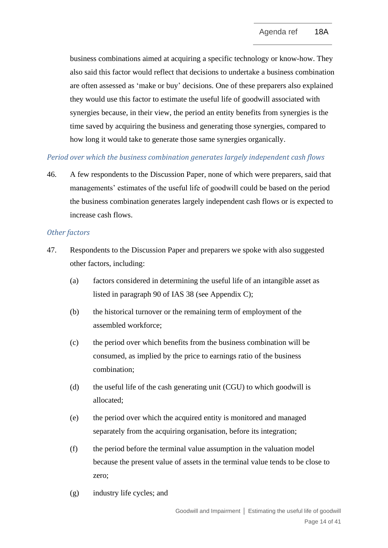business combinations aimed at acquiring a specific technology or know-how. They also said this factor would reflect that decisions to undertake a business combination are often assessed as 'make or buy' decisions. One of these preparers also explained they would use this factor to estimate the useful life of goodwill associated with synergies because, in their view, the period an entity benefits from synergies is the time saved by acquiring the business and generating those synergies, compared to how long it would take to generate those same synergies organically.

# *Period over which the business combination generates largely independent cash flows*

<span id="page-13-1"></span>46. A few respondents to the Discussion Paper, none of which were preparers, said that managements' estimates of the useful life of goodwill could be based on the period the business combination generates largely independent cash flows or is expected to increase cash flows.

# *Other factors*

- <span id="page-13-2"></span><span id="page-13-0"></span>47. Respondents to the Discussion Paper and preparers we spoke with also suggested other factors, including:
	- (a) factors considered in determining the useful life of an intangible asset as listed in paragraph 90 of IAS 38 (see Appendix C);
	- (b) the historical turnover or the remaining term of employment of the assembled workforce;
	- (c) the period over which benefits from the business combination will be consumed, as implied by the price to earnings ratio of the business combination;
	- (d) the useful life of the cash generating unit (CGU) to which goodwill is allocated;
	- (e) the period over which the acquired entity is monitored and managed separately from the acquiring organisation, before its integration;
	- (f) the period before the terminal value assumption in the valuation model because the present value of assets in the terminal value tends to be close to zero;
	- (g) industry life cycles; and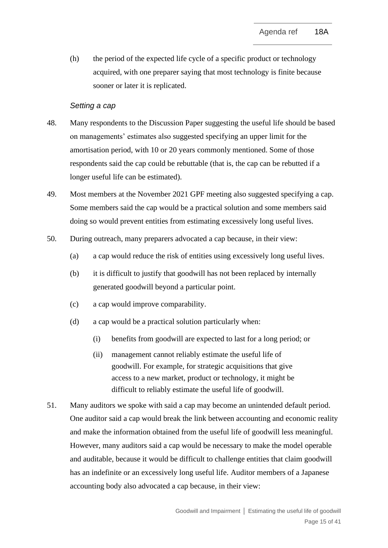<span id="page-14-1"></span>(h) the period of the expected life cycle of a specific product or technology acquired, with one preparer saying that most technology is finite because sooner or later it is replicated.

#### *Setting a cap*

- <span id="page-14-0"></span>48. Many respondents to the Discussion Paper suggesting the useful life should be based on managements' estimates also suggested specifying an upper limit for the amortisation period, with 10 or 20 years commonly mentioned. Some of those respondents said the cap could be rebuttable (that is, the cap can be rebutted if a longer useful life can be estimated).
- 49. Most members at the November 2021 GPF meeting also suggested specifying a cap. Some members said the cap would be a practical solution and some members said doing so would prevent entities from estimating excessively long useful lives.
- 50. During outreach, many preparers advocated a cap because, in their view:
	- (a) a cap would reduce the risk of entities using excessively long useful lives.
	- (b) it is difficult to justify that goodwill has not been replaced by internally generated goodwill beyond a particular point.
	- (c) a cap would improve comparability.
	- (d) a cap would be a practical solution particularly when:
		- (i) benefits from goodwill are expected to last for a long period; or
		- (ii) management cannot reliably estimate the useful life of goodwill. For example, for strategic acquisitions that give access to a new market, product or technology, it might be difficult to reliably estimate the useful life of goodwill.
- 51. Many auditors we spoke with said a cap may become an unintended default period. One auditor said a cap would break the link between accounting and economic reality and make the information obtained from the useful life of goodwill less meaningful. However, many auditors said a cap would be necessary to make the model operable and auditable, because it would be difficult to challenge entities that claim goodwill has an indefinite or an excessively long useful life. Auditor members of a Japanese accounting body also advocated a cap because, in their view: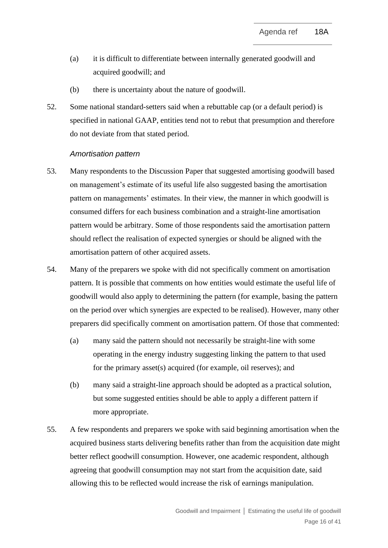- (a) it is difficult to differentiate between internally generated goodwill and acquired goodwill; and
- (b) there is uncertainty about the nature of goodwill.
- <span id="page-15-0"></span>52. Some national standard-setters said when a rebuttable cap (or a default period) is specified in national GAAP, entities tend not to rebut that presumption and therefore do not deviate from that stated period.

#### *Amortisation pattern*

- <span id="page-15-1"></span>53. Many respondents to the Discussion Paper that suggested amortising goodwill based on management's estimate of its useful life also suggested basing the amortisation pattern on managements' estimates. In their view, the manner in which goodwill is consumed differs for each business combination and a straight-line amortisation pattern would be arbitrary. Some of those respondents said the amortisation pattern should reflect the realisation of expected synergies or should be aligned with the amortisation pattern of other acquired assets.
- 54. Many of the preparers we spoke with did not specifically comment on amortisation pattern. It is possible that comments on how entities would estimate the useful life of goodwill would also apply to determining the pattern (for example, basing the pattern on the period over which synergies are expected to be realised). However, many other preparers did specifically comment on amortisation pattern. Of those that commented:
	- (a) many said the pattern should not necessarily be straight-line with some operating in the energy industry suggesting linking the pattern to that used for the primary asset(s) acquired (for example, oil reserves); and
	- (b) many said a straight-line approach should be adopted as a practical solution, but some suggested entities should be able to apply a different pattern if more appropriate.
- 55. A few respondents and preparers we spoke with said beginning amortisation when the acquired business starts delivering benefits rather than from the acquisition date might better reflect goodwill consumption. However, one academic respondent, although agreeing that goodwill consumption may not start from the acquisition date, said allowing this to be reflected would increase the risk of earnings manipulation.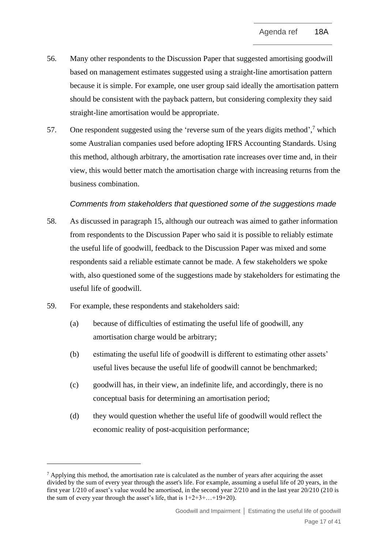- 56. Many other respondents to the Discussion Paper that suggested amortising goodwill based on management estimates suggested using a straight-line amortisation pattern because it is simple. For example, one user group said ideally the amortisation pattern should be consistent with the payback pattern, but considering complexity they said straight-line amortisation would be appropriate.
- <span id="page-16-0"></span>57. One respondent suggested using the 'reverse sum of the years digits method',<sup>7</sup> which some Australian companies used before adopting IFRS Accounting Standards. Using this method, although arbitrary, the amortisation rate increases over time and, in their view, this would better match the amortisation charge with increasing returns from the business combination.

# *Comments from stakeholders that questioned some of the suggestions made*

- <span id="page-16-1"></span>58. As discussed in paragraph [15,](#page-5-3) although our outreach was aimed to gather information from respondents to the Discussion Paper who said it is possible to reliably estimate the useful life of goodwill, feedback to the Discussion Paper was mixed and some respondents said a reliable estimate cannot be made. A few stakeholders we spoke with, also questioned some of the suggestions made by stakeholders for estimating the useful life of goodwill.
- 59. For example, these respondents and stakeholders said:
	- (a) because of difficulties of estimating the useful life of goodwill, any amortisation charge would be arbitrary;
	- (b) estimating the useful life of goodwill is different to estimating other assets' useful lives because the useful life of goodwill cannot be benchmarked;
	- (c) goodwill has, in their view, an indefinite life, and accordingly, there is no conceptual basis for determining an amortisation period;
	- (d) they would question whether the useful life of goodwill would reflect the economic reality of post-acquisition performance;

 $\frac{7}{2}$  Applying this method, the amortisation rate is calculated as the number of years after acquiring the asset divided by the sum of every year through the asset's life. For example, assuming a useful life of 20 years, in the first year 1/210 of asset's value would be amortised, in the second year 2/210 and in the last year 20/210 (210 is the sum of every year through the asset's life, that is  $1+2+3+...+19+20$ .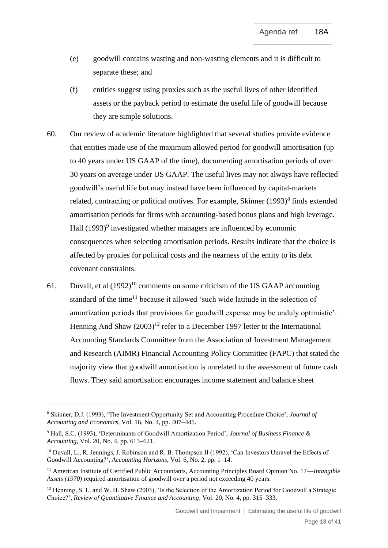- (e) goodwill contains wasting and non-wasting elements and it is difficult to separate these; and
- (f) entities suggest using proxies such as the useful lives of other identified assets or the payback period to estimate the useful life of goodwill because they are simple solutions.
- <span id="page-17-1"></span>60. Our review of academic literature highlighted that several studies provide evidence that entities made use of the maximum allowed period for goodwill amortisation (up to 40 years under US GAAP of the time), documenting amortisation periods of over 30 years on average under US GAAP. The useful lives may not always have reflected goodwill's useful life but may instead have been influenced by capital-markets related, contracting or political motives. For example, Skinner  $(1993)^8$  finds extended amortisation periods for firms with accounting-based bonus plans and high leverage. Hall  $(1993)^9$  investigated whether managers are influenced by economic consequences when selecting amortisation periods. Results indicate that the choice is affected by proxies for political costs and the nearness of the entity to its debt covenant constraints.
- <span id="page-17-0"></span>61. Duvall, et al  $(1992)^{10}$  comments on some criticism of the US GAAP accounting standard of the time<sup>11</sup> because it allowed 'such wide latitude in the selection of amortization periods that provisions for goodwill expense may be unduly optimistic'. Henning And Shaw  $(2003)^{12}$  refer to a December 1997 letter to the International Accounting Standards Committee from the Association of Investment Management and Research (AIMR) Financial Accounting Policy Committee (FAPC) that stated the majority view that goodwill amortisation is unrelated to the assessment of future cash flows. They said amortisation encourages income statement and balance sheet

<sup>8</sup> Skinner, D.J. (1993), 'The Investment Opportunity Set and Accounting Procedure Choice', *Journal of Accounting and Economics*, Vol. 16, No. 4, pp. 407–445.

<sup>9</sup> Hall, S.C. (1993), 'Determinants of Goodwill Amortization Period', *Journal of Business Finance & Accounting*, Vol. 20, No. 4, pp. 613–621.

<sup>&</sup>lt;sup>10</sup> Duvall, L., R. Jennings, J. Robinson and R. B. Thompson II (1992), 'Can Investors Unravel the Effects of Goodwill Accounting?', *Accounting Horizons*, Vol. 6, No. 2, pp. 1–14.

<sup>11</sup> American Institute of Certified Public Accountants, Accounting Principles Board Opinion No. 17—*Intangible Assets (1970)* required amortisation of goodwill over a period not exceeding 40 years.

<sup>&</sup>lt;sup>12</sup> Henning, S. L. and W. H. Shaw (2003), 'Is the Selection of the Amortization Period for Goodwill a Strategic Choice?', *Review of Quantitative Finance and Accounting*, Vol. 20, No. 4, pp. 315–333.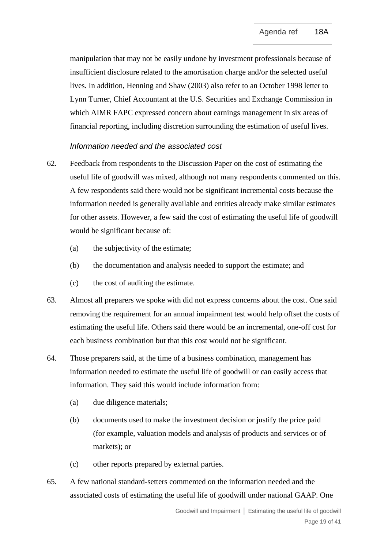manipulation that may not be easily undone by investment professionals because of insufficient disclosure related to the amortisation charge and/or the selected useful lives. In addition, Henning and Shaw (2003) also refer to an October 1998 letter to Lynn Turner, Chief Accountant at the U.S. Securities and Exchange Commission in which AIMR FAPC expressed concern about earnings management in six areas of financial reporting, including discretion surrounding the estimation of useful lives.

# *Information needed and the associated cost*

- <span id="page-18-0"></span>62. Feedback from respondents to the Discussion Paper on the cost of estimating the useful life of goodwill was mixed, although not many respondents commented on this. A few respondents said there would not be significant incremental costs because the information needed is generally available and entities already make similar estimates for other assets. However, a few said the cost of estimating the useful life of goodwill would be significant because of:
	- (a) the subjectivity of the estimate;
	- (b) the documentation and analysis needed to support the estimate; and
	- (c) the cost of auditing the estimate.
- 63. Almost all preparers we spoke with did not express concerns about the cost. One said removing the requirement for an annual impairment test would help offset the costs of estimating the useful life. Others said there would be an incremental, one-off cost for each business combination but that this cost would not be significant.
- <span id="page-18-1"></span>64. Those preparers said, at the time of a business combination, management has information needed to estimate the useful life of goodwill or can easily access that information. They said this would include information from:
	- (a) due diligence materials;
	- (b) documents used to make the investment decision or justify the price paid (for example, valuation models and analysis of products and services or of markets); or
	- (c) other reports prepared by external parties.
- 65. A few national standard-setters commented on the information needed and the associated costs of estimating the useful life of goodwill under national GAAP. One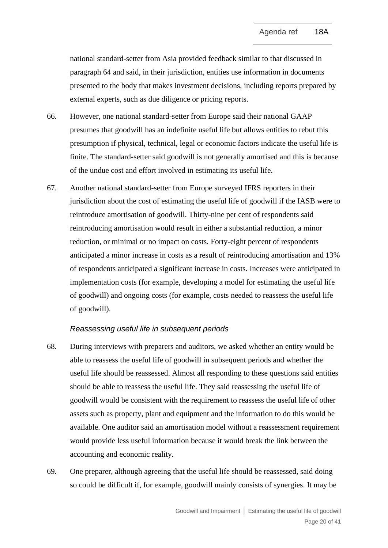national standard-setter from Asia provided feedback similar to that discussed in paragraph [64](#page-18-1) and said, in their jurisdiction, entities use information in documents presented to the body that makes investment decisions, including reports prepared by external experts, such as due diligence or pricing reports.

- 66. However, one national standard-setter from Europe said their national GAAP presumes that goodwill has an indefinite useful life but allows entities to rebut this presumption if physical, technical, legal or economic factors indicate the useful life is finite. The standard-setter said goodwill is not generally amortised and this is because of the undue cost and effort involved in estimating its useful life.
- <span id="page-19-0"></span>67. Another national standard-setter from Europe surveyed IFRS reporters in their jurisdiction about the cost of estimating the useful life of goodwill if the IASB were to reintroduce amortisation of goodwill. Thirty-nine per cent of respondents said reintroducing amortisation would result in either a substantial reduction, a minor reduction, or minimal or no impact on costs. Forty-eight percent of respondents anticipated a minor increase in costs as a result of reintroducing amortisation and 13% of respondents anticipated a significant increase in costs. Increases were anticipated in implementation costs (for example, developing a model for estimating the useful life of goodwill) and ongoing costs (for example, costs needed to reassess the useful life of goodwill).

# *Reassessing useful life in subsequent periods*

- <span id="page-19-1"></span>68. During interviews with preparers and auditors, we asked whether an entity would be able to reassess the useful life of goodwill in subsequent periods and whether the useful life should be reassessed. Almost all responding to these questions said entities should be able to reassess the useful life. They said reassessing the useful life of goodwill would be consistent with the requirement to reassess the useful life of other assets such as property, plant and equipment and the information to do this would be available. One auditor said an amortisation model without a reassessment requirement would provide less useful information because it would break the link between the accounting and economic reality.
- 69. One preparer, although agreeing that the useful life should be reassessed, said doing so could be difficult if, for example, goodwill mainly consists of synergies. It may be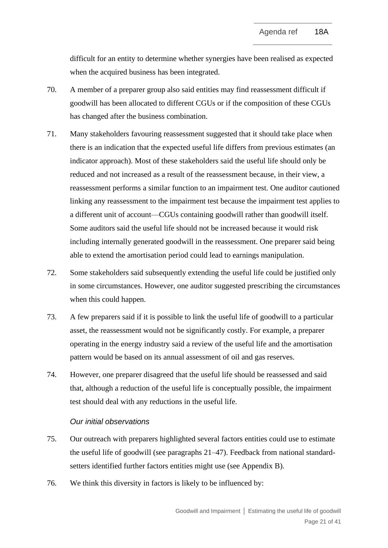difficult for an entity to determine whether synergies have been realised as expected when the acquired business has been integrated.

- 70. A member of a preparer group also said entities may find reassessment difficult if goodwill has been allocated to different CGUs or if the composition of these CGUs has changed after the business combination.
- 71. Many stakeholders favouring reassessment suggested that it should take place when there is an indication that the expected useful life differs from previous estimates (an indicator approach). Most of these stakeholders said the useful life should only be reduced and not increased as a result of the reassessment because, in their view, a reassessment performs a similar function to an impairment test. One auditor cautioned linking any reassessment to the impairment test because the impairment test applies to a different unit of account—CGUs containing goodwill rather than goodwill itself. Some auditors said the useful life should not be increased because it would risk including internally generated goodwill in the reassessment. One preparer said being able to extend the amortisation period could lead to earnings manipulation.
- 72. Some stakeholders said subsequently extending the useful life could be justified only in some circumstances. However, one auditor suggested prescribing the circumstances when this could happen.
- 73. A few preparers said if it is possible to link the useful life of goodwill to a particular asset, the reassessment would not be significantly costly. For example, a preparer operating in the energy industry said a review of the useful life and the amortisation pattern would be based on its annual assessment of oil and gas reserves.
- <span id="page-20-0"></span>74. However, one preparer disagreed that the useful life should be reassessed and said that, although a reduction of the useful life is conceptually possible, the impairment test should deal with any reductions in the useful life.

#### *Our initial observations*

- <span id="page-20-1"></span>75. Our outreach with preparers highlighted several factors entities could use to estimate the useful life of goodwill (see paragraphs [21](#page-6-0)[–47\)](#page-13-0). Feedback from national standardsetters identified further factors entities might use (see Appendix B).
- 76. We think this diversity in factors is likely to be influenced by: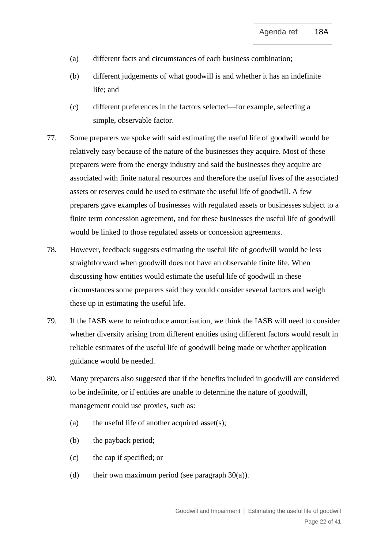- (a) different facts and circumstances of each business combination;
- (b) different judgements of what goodwill is and whether it has an indefinite life; and
- (c) different preferences in the factors selected—for example, selecting a simple, observable factor.
- 77. Some preparers we spoke with said estimating the useful life of goodwill would be relatively easy because of the nature of the businesses they acquire. Most of these preparers were from the energy industry and said the businesses they acquire are associated with finite natural resources and therefore the useful lives of the associated assets or reserves could be used to estimate the useful life of goodwill. A few preparers gave examples of businesses with regulated assets or businesses subject to a finite term concession agreement, and for these businesses the useful life of goodwill would be linked to those regulated assets or concession agreements.
- 78. However, feedback suggests estimating the useful life of goodwill would be less straightforward when goodwill does not have an observable finite life. When discussing how entities would estimate the useful life of goodwill in these circumstances some preparers said they would consider several factors and weigh these up in estimating the useful life.
- 79. If the IASB were to reintroduce amortisation, we think the IASB will need to consider whether diversity arising from different entities using different factors would result in reliable estimates of the useful life of goodwill being made or whether application guidance would be needed.
- 80. Many preparers also suggested that if the benefits included in goodwill are considered to be indefinite, or if entities are unable to determine the nature of goodwill, management could use proxies, such as:
	- (a) the useful life of another acquired asset $(s)$ ;
	- (b) the payback period;
	- (c) the cap if specified; or
	- (d) their own maximum period (see paragraph  $30(a)$ ).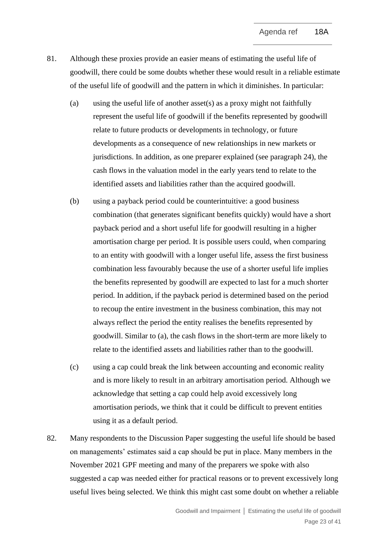- 81. Although these proxies provide an easier means of estimating the useful life of goodwill, there could be some doubts whether these would result in a reliable estimate of the useful life of goodwill and the pattern in which it diminishes. In particular:
	- (a) using the useful life of another asset(s) as a proxy might not faithfully represent the useful life of goodwill if the benefits represented by goodwill relate to future products or developments in technology, or future developments as a consequence of new relationships in new markets or jurisdictions. In addition, as one preparer explained (see paragraph [24\)](#page-7-1), the cash flows in the valuation model in the early years tend to relate to the identified assets and liabilities rather than the acquired goodwill.
	- (b) using a payback period could be counterintuitive: a good business combination (that generates significant benefits quickly) would have a short payback period and a short useful life for goodwill resulting in a higher amortisation charge per period. It is possible users could, when comparing to an entity with goodwill with a longer useful life, assess the first business combination less favourably because the use of a shorter useful life implies the benefits represented by goodwill are expected to last for a much shorter period. In addition, if the payback period is determined based on the period to recoup the entire investment in the business combination, this may not always reflect the period the entity realises the benefits represented by goodwill. Similar to (a), the cash flows in the short-term are more likely to relate to the identified assets and liabilities rather than to the goodwill.
	- (c) using a cap could break the link between accounting and economic reality and is more likely to result in an arbitrary amortisation period. Although we acknowledge that setting a cap could help avoid excessively long amortisation periods, we think that it could be difficult to prevent entities using it as a default period.
- 82. Many respondents to the Discussion Paper suggesting the useful life should be based on managements' estimates said a cap should be put in place. Many members in the November 2021 GPF meeting and many of the preparers we spoke with also suggested a cap was needed either for practical reasons or to prevent excessively long useful lives being selected. We think this might cast some doubt on whether a reliable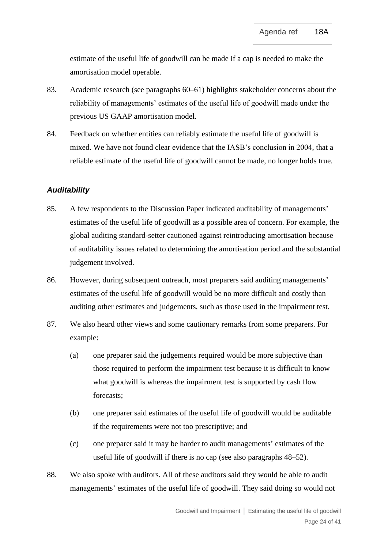estimate of the useful life of goodwill can be made if a cap is needed to make the amortisation model operable.

- 83. Academic research (see paragraphs [60–](#page-17-1)[61\)](#page-17-0) highlights stakeholder concerns about the reliability of managements' estimates of the useful life of goodwill made under the previous US GAAP amortisation model.
- <span id="page-23-0"></span>84. Feedback on whether entities can reliably estimate the useful life of goodwill is mixed. We have not found clear evidence that the IASB's conclusion in 2004, that a reliable estimate of the useful life of goodwill cannot be made, no longer holds true.

## *Auditability*

- <span id="page-23-1"></span>85. A few respondents to the Discussion Paper indicated auditability of managements' estimates of the useful life of goodwill as a possible area of concern. For example, the global auditing standard-setter cautioned against reintroducing amortisation because of auditability issues related to determining the amortisation period and the substantial judgement involved.
- 86. However, during subsequent outreach, most preparers said auditing managements' estimates of the useful life of goodwill would be no more difficult and costly than auditing other estimates and judgements, such as those used in the impairment test.
- 87. We also heard other views and some cautionary remarks from some preparers. For example:
	- (a) one preparer said the judgements required would be more subjective than those required to perform the impairment test because it is difficult to know what goodwill is whereas the impairment test is supported by cash flow forecasts;
	- (b) one preparer said estimates of the useful life of goodwill would be auditable if the requirements were not too prescriptive; and
	- (c) one preparer said it may be harder to audit managements' estimates of the useful life of goodwill if there is no cap (see also paragraphs [48](#page-14-0)[–52\)](#page-15-0).
- 88. We also spoke with auditors. All of these auditors said they would be able to audit managements' estimates of the useful life of goodwill. They said doing so would not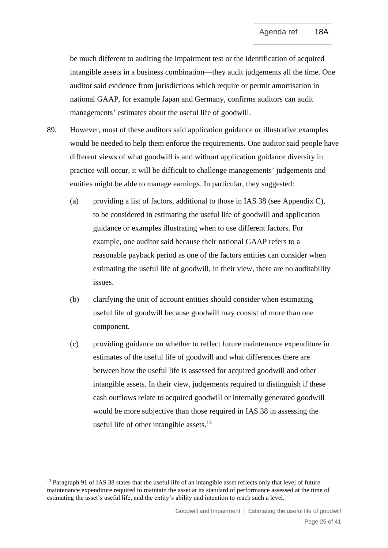be much different to auditing the impairment test or the identification of acquired intangible assets in a business combination—they audit judgements all the time. One auditor said evidence from jurisdictions which require or permit amortisation in national GAAP, for example Japan and Germany, confirms auditors can audit managements' estimates about the useful life of goodwill.

- <span id="page-24-0"></span>89. However, most of these auditors said application guidance or illustrative examples would be needed to help them enforce the requirements. One auditor said people have different views of what goodwill is and without application guidance diversity in practice will occur, it will be difficult to challenge managements' judgements and entities might be able to manage earnings. In particular, they suggested:
	- (a) providing a list of factors, additional to those in IAS 38 (see Appendix C), to be considered in estimating the useful life of goodwill and application guidance or examples illustrating when to use different factors. For example, one auditor said because their national GAAP refers to a reasonable payback period as one of the factors entities can consider when estimating the useful life of goodwill, in their view, there are no auditability issues.
	- (b) clarifying the unit of account entities should consider when estimating useful life of goodwill because goodwill may consist of more than one component.
	- (c) providing guidance on whether to reflect future maintenance expenditure in estimates of the useful life of goodwill and what differences there are between how the useful life is assessed for acquired goodwill and other intangible assets. In their view, judgements required to distinguish if these cash outflows relate to acquired goodwill or internally generated goodwill would be more subjective than those required in IAS 38 in assessing the useful life of other intangible assets.<sup>13</sup>

<sup>&</sup>lt;sup>13</sup> Paragraph 91 of IAS 38 states that the useful life of an intangible asset reflects only that level of future maintenance expenditure required to maintain the asset at its standard of performance assessed at the time of estimating the asset's useful life, and the entity's ability and intention to reach such a level.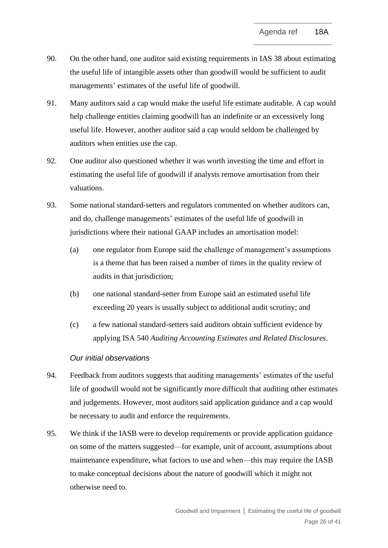- 90. On the other hand, one auditor said existing requirements in IAS 38 about estimating the useful life of intangible assets other than goodwill would be sufficient to audit managements' estimates of the useful life of goodwill.
- 91. Many auditors said a cap would make the useful life estimate auditable. A cap would help challenge entities claiming goodwill has an indefinite or an excessively long useful life. However, another auditor said a cap would seldom be challenged by auditors when entities use the cap.
- 92. One auditor also questioned whether it was worth investing the time and effort in estimating the useful life of goodwill if analysts remove amortisation from their valuations.
- 93. Some national standard-setters and regulators commented on whether auditors can, and do, challenge managements' estimates of the useful life of goodwill in jurisdictions where their national GAAP includes an amortisation model:
	- (a) one regulator from Europe said the challenge of management's assumptions is a theme that has been raised a number of times in the quality review of audits in that jurisdiction;
	- (b) one national standard-setter from Europe said an estimated useful life exceeding 20 years is usually subject to additional audit scrutiny; and
	- (c) a few national standard-setters said auditors obtain sufficient evidence by applying ISA 540 *Auditing Accounting Estimates and Related Disclosures*.

# *Our initial observations*

- 94. Feedback from auditors suggests that auditing managements' estimates of the useful life of goodwill would not be significantly more difficult that auditing other estimates and judgements. However, most auditors said application guidance and a cap would be necessary to audit and enforce the requirements.
- 95. We think if the IASB were to develop requirements or provide application guidance on some of the matters suggested—for example, unit of account, assumptions about maintenance expenditure, what factors to use and when—this may require the IASB to make conceptual decisions about the nature of goodwill which it might not otherwise need to.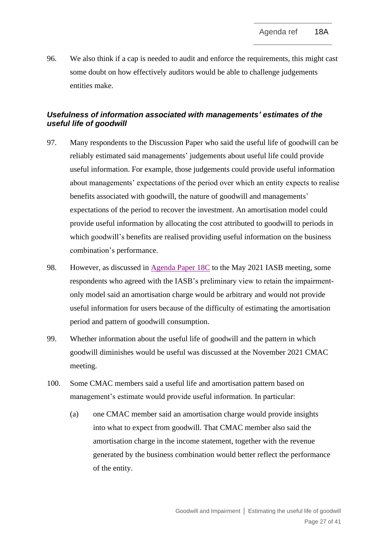<span id="page-26-0"></span>96. We also think if a cap is needed to audit and enforce the requirements, this might cast some doubt on how effectively auditors would be able to challenge judgements entities make.

# *Usefulness of information associated with managements' estimates of the useful life of goodwill*

- <span id="page-26-1"></span>97. Many respondents to the Discussion Paper who said the useful life of goodwill can be reliably estimated said managements' judgements about useful life could provide useful information. For example, those judgements could provide useful information about managements' expectations of the period over which an entity expects to realise benefits associated with goodwill, the nature of goodwill and managements' expectations of the period to recover the investment. An amortisation model could provide useful information by allocating the cost attributed to goodwill to periods in which goodwill's benefits are realised providing useful information on the business combination's performance.
- 98. However, as discussed in [Agenda Paper 18C](https://www.ifrs.org/content/dam/ifrs/meetings/2021/may/iasb/ap18c-subsequent-accounting-for-goodwill.pdf) to the May 2021 IASB meeting, some respondents who agreed with the IASB's preliminary view to retain the impairmentonly model said an amortisation charge would be arbitrary and would not provide useful information for users because of the difficulty of estimating the amortisation period and pattern of goodwill consumption.
- 99. Whether information about the useful life of goodwill and the pattern in which goodwill diminishes would be useful was discussed at the November 2021 CMAC meeting.
- 100. Some CMAC members said a useful life and amortisation pattern based on management's estimate would provide useful information. In particular:
	- (a) one CMAC member said an amortisation charge would provide insights into what to expect from goodwill. That CMAC member also said the amortisation charge in the income statement, together with the revenue generated by the business combination would better reflect the performance of the entity.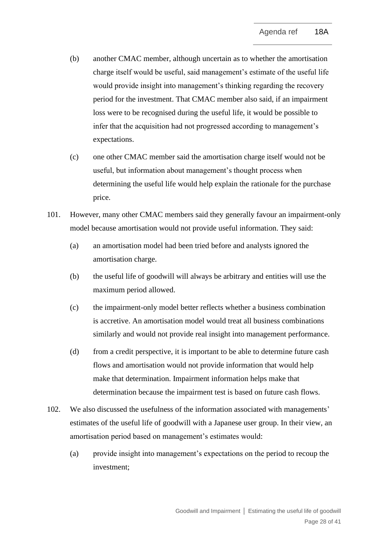- (b) another CMAC member, although uncertain as to whether the amortisation charge itself would be useful, said management's estimate of the useful life would provide insight into management's thinking regarding the recovery period for the investment. That CMAC member also said, if an impairment loss were to be recognised during the useful life, it would be possible to infer that the acquisition had not progressed according to management's expectations.
- (c) one other CMAC member said the amortisation charge itself would not be useful, but information about management's thought process when determining the useful life would help explain the rationale for the purchase price.
- 101. However, many other CMAC members said they generally favour an impairment-only model because amortisation would not provide useful information. They said:
	- (a) an amortisation model had been tried before and analysts ignored the amortisation charge.
	- (b) the useful life of goodwill will always be arbitrary and entities will use the maximum period allowed.
	- (c) the impairment-only model better reflects whether a business combination is accretive. An amortisation model would treat all business combinations similarly and would not provide real insight into management performance.
	- (d) from a credit perspective, it is important to be able to determine future cash flows and amortisation would not provide information that would help make that determination. Impairment information helps make that determination because the impairment test is based on future cash flows.
- 102. We also discussed the usefulness of the information associated with managements' estimates of the useful life of goodwill with a Japanese user group. In their view, an amortisation period based on management's estimates would:
	- (a) provide insight into management's expectations on the period to recoup the investment;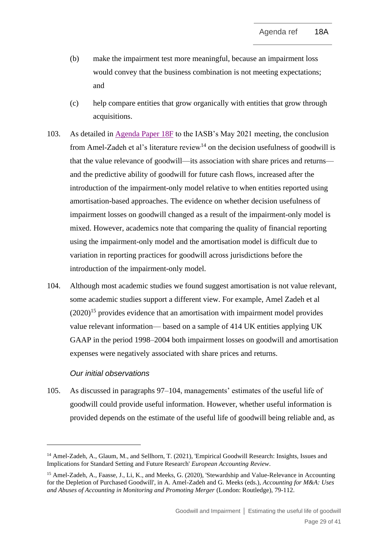- (b) make the impairment test more meaningful, because an impairment loss would convey that the business combination is not meeting expectations; and
- (c) help compare entities that grow organically with entities that grow through acquisitions.
- 103. As detailed in [Agenda Paper 18F](https://www.ifrs.org/content/dam/ifrs/meetings/2021/may/iasb/ap18f-academic-evidence.pdf) to the IASB's May 2021 meeting, the conclusion from Amel-Zadeh et al's literature review<sup>14</sup> on the decision usefulness of goodwill is that the value relevance of goodwill—its association with share prices and returns and the predictive ability of goodwill for future cash flows, increased after the introduction of the impairment-only model relative to when entities reported using amortisation-based approaches. The evidence on whether decision usefulness of impairment losses on goodwill changed as a result of the impairment-only model is mixed. However, academics note that comparing the quality of financial reporting using the impairment-only model and the amortisation model is difficult due to variation in reporting practices for goodwill across jurisdictions before the introduction of the impairment-only model.
- <span id="page-28-0"></span>104. Although most academic studies we found suggest amortisation is not value relevant, some academic studies support a different view. For example, Amel Zadeh et al  $(2020)^{15}$  provides evidence that an amortisation with impairment model provides value relevant information— based on a sample of 414 UK entities applying UK GAAP in the period 1998–2004 both impairment losses on goodwill and amortisation expenses were negatively associated with share prices and returns.

# *Our initial observations*

105. As discussed in paragraphs [97–](#page-26-1)[104,](#page-28-0) managements' estimates of the useful life of goodwill could provide useful information. However, whether useful information is provided depends on the estimate of the useful life of goodwill being reliable and, as

<sup>&</sup>lt;sup>14</sup> Amel-Zadeh, A., Glaum, M., and Sellhorn, T. (2021), 'Empirical Goodwill Research: Insights, Issues and Implications for Standard Setting and Future Research' *European Accounting Review*.

<sup>15</sup> Amel-Zadeh, A., Faasse, J., Li, K., and Meeks, G. (2020), 'Stewardship and Value-Relevance in Accounting for the Depletion of Purchased Goodwill', in A. Amel-Zadeh and G. Meeks (eds.), *Accounting for M&A: Uses and Abuses of Accounting in Monitoring and Promoting Merger* (London: Routledge), 79-112.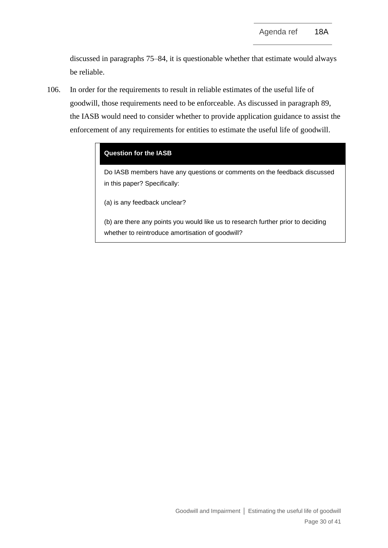discussed in paragraphs [75–](#page-20-1)[84,](#page-23-0) it is questionable whether that estimate would always be reliable.

<span id="page-29-0"></span>106. In order for the requirements to result in reliable estimates of the useful life of goodwill, those requirements need to be enforceable. As discussed in paragraph [89,](#page-24-0) the IASB would need to consider whether to provide application guidance to assist the enforcement of any requirements for entities to estimate the useful life of goodwill.

## **Question for the IASB**

Do IASB members have any questions or comments on the feedback discussed in this paper? Specifically:

(a) is any feedback unclear?

(b) are there any points you would like us to research further prior to deciding whether to reintroduce amortisation of goodwill?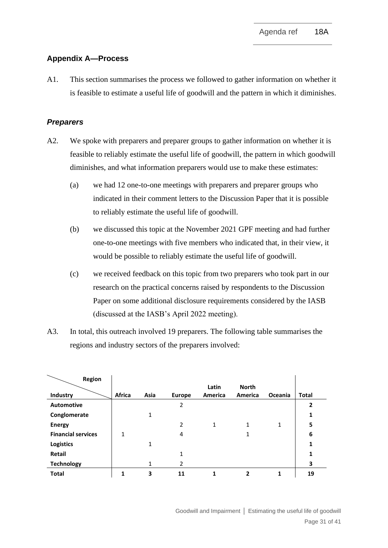# **Appendix A—Process**

A1. This section summarises the process we followed to gather information on whether it is feasible to estimate a useful life of goodwill and the pattern in which it diminishes.

# *Preparers*

- A2. We spoke with preparers and preparer groups to gather information on whether it is feasible to reliably estimate the useful life of goodwill, the pattern in which goodwill diminishes, and what information preparers would use to make these estimates:
	- (a) we had 12 one-to-one meetings with preparers and preparer groups who indicated in their comment letters to the Discussion Paper that it is possible to reliably estimate the useful life of goodwill.
	- (b) we discussed this topic at the November 2021 GPF meeting and had further one-to-one meetings with five members who indicated that, in their view, it would be possible to reliably estimate the useful life of goodwill.
	- (c) we received feedback on this topic from two preparers who took part in our research on the practical concerns raised by respondents to the Discussion Paper on some additional disclosure requirements considered by the IASB (discussed at the IASB's April 2022 meeting).
- A3. In total, this outreach involved 19 preparers. The following table summarises the regions and industry sectors of the preparers involved:

| Region                    |        |      |               |         |              |              |              |
|---------------------------|--------|------|---------------|---------|--------------|--------------|--------------|
|                           |        |      |               | Latin   | <b>North</b> |              |              |
| Industry                  | Africa | Asia | <b>Europe</b> | America | America      | Oceania      | <b>Total</b> |
| <b>Automotive</b>         |        |      | 2             |         |              |              | $\mathbf{2}$ |
| Conglomerate              |        | 1    |               |         |              |              | 1            |
| <b>Energy</b>             |        |      | 2             | 1       | 1            | $\mathbf{1}$ | 5            |
| <b>Financial services</b> | 1      |      | 4             |         |              |              | 6            |
| <b>Logistics</b>          |        | 1    |               |         |              |              | 1            |
| Retail                    |        |      | 1             |         |              |              | 1            |
| <b>Technology</b>         |        | 1    | 2             |         |              |              | 3            |
| <b>Total</b>              | 1      | 3    | 11            | 1       | 2            | 1            | 19           |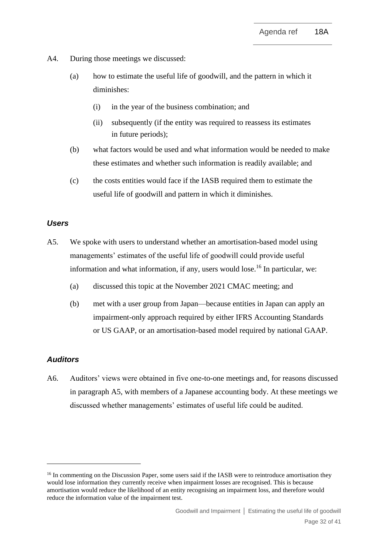- A4. During those meetings we discussed:
	- (a) how to estimate the useful life of goodwill, and the pattern in which it diminishes:
		- (i) in the year of the business combination; and
		- (ii) subsequently (if the entity was required to reassess its estimates in future periods);
	- (b) what factors would be used and what information would be needed to make these estimates and whether such information is readily available; and
	- (c) the costs entities would face if the IASB required them to estimate the useful life of goodwill and pattern in which it diminishes.

# *Users*

- <span id="page-31-0"></span>A5. We spoke with users to understand whether an amortisation-based model using managements' estimates of the useful life of goodwill could provide useful information and what information, if any, users would lose.<sup>16</sup> In particular, we:
	- (a) discussed this topic at the November 2021 CMAC meeting; and
	- (b) met with a user group from Japan—because entities in Japan can apply an impairment-only approach required by either IFRS Accounting Standards or US GAAP, or an amortisation-based model required by national GAAP.

#### *Auditors*

A6. Auditors' views were obtained in five one-to-one meetings and, for reasons discussed in paragraph [A5,](#page-31-0) with members of a Japanese accounting body. At these meetings we discussed whether managements' estimates of useful life could be audited.

<sup>&</sup>lt;sup>16</sup> In commenting on the Discussion Paper, some users said if the IASB were to reintroduce amortisation they would lose information they currently receive when impairment losses are recognised. This is because amortisation would reduce the likelihood of an entity recognising an impairment loss, and therefore would reduce the information value of the impairment test.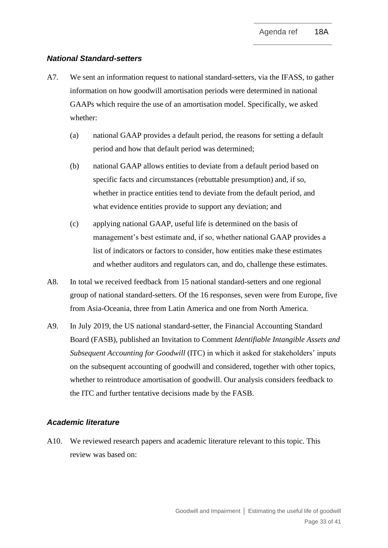#### *National Standard-setters*

- <span id="page-32-0"></span>A7. We sent an information request to national standard-setters, via the IFASS, to gather information on how goodwill amortisation periods were determined in national GAAPs which require the use of an amortisation model. Specifically, we asked whether:
	- (a) national GAAP provides a default period, the reasons for setting a default period and how that default period was determined;
	- (b) national GAAP allows entities to deviate from a default period based on specific facts and circumstances (rebuttable presumption) and, if so, whether in practice entities tend to deviate from the default period, and what evidence entities provide to support any deviation; and
	- (c) applying national GAAP, useful life is determined on the basis of management's best estimate and, if so, whether national GAAP provides a list of indicators or factors to consider, how entities make these estimates and whether auditors and regulators can, and do, challenge these estimates.
- A8. In total we received feedback from 15 national standard-setters and one regional group of national standard-setters. Of the 16 responses, seven were from Europe, five from Asia-Oceania, three from Latin America and one from North America.
- A9. In July 2019, the US national standard-setter, the Financial Accounting Standard Board (FASB), published an Invitation to Comment *Identifiable Intangible Assets and Subsequent Accounting for Goodwill* (ITC) in which it asked for stakeholders' inputs on the subsequent accounting of goodwill and considered, together with other topics, whether to reintroduce amortisation of goodwill. Our analysis considers feedback to the ITC and further tentative decisions made by the FASB.

#### *Academic literature*

A10. We reviewed research papers and academic literature relevant to this topic. This review was based on: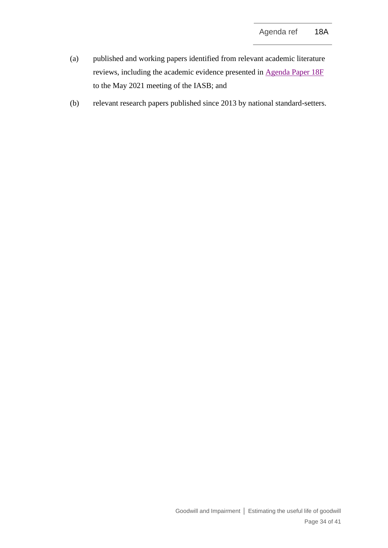- (a) published and working papers identified from relevant academic literature reviews, including the academic evidence presented in [Agenda Paper 18F](https://www.ifrs.org/content/dam/ifrs/meetings/2021/may/iasb/ap18f-academic-evidence.pdf) to the May 2021 meeting of the IASB; and
- (b) relevant research papers published since 2013 by national standard-setters.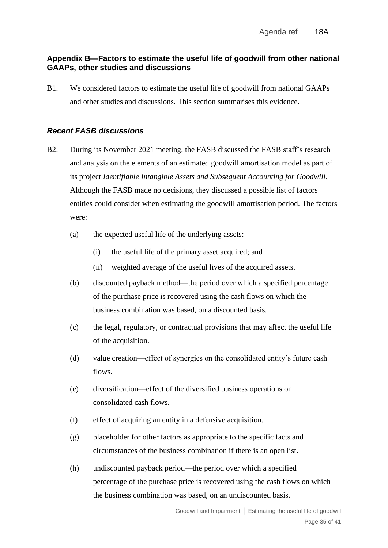# **Appendix B—Factors to estimate the useful life of goodwill from other national GAAPs, other studies and discussions**

B1. We considered factors to estimate the useful life of goodwill from national GAAPs and other studies and discussions. This section summarises this evidence.

# *Recent FASB discussions*

- B2. During its November 2021 meeting, the FASB discussed the FASB staff's research and analysis on the elements of an estimated goodwill amortisation model as part of its project *Identifiable Intangible Assets and Subsequent Accounting for Goodwill*. Although the FASB made no decisions, they discussed a possible list of factors entities could consider when estimating the goodwill amortisation period. The factors were:
	- (a) the expected useful life of the underlying assets:
		- (i) the useful life of the primary asset acquired; and
		- (ii) weighted average of the useful lives of the acquired assets.
	- (b) discounted payback method—the period over which a specified percentage of the purchase price is recovered using the cash flows on which the business combination was based, on a discounted basis.
	- (c) the legal, regulatory, or contractual provisions that may affect the useful life of the acquisition.
	- (d) value creation—effect of synergies on the consolidated entity's future cash flows.
	- (e) diversification—effect of the diversified business operations on consolidated cash flows.
	- (f) effect of acquiring an entity in a defensive acquisition.
	- (g) placeholder for other factors as appropriate to the specific facts and circumstances of the business combination if there is an open list.
	- (h) undiscounted payback period—the period over which a specified percentage of the purchase price is recovered using the cash flows on which the business combination was based, on an undiscounted basis.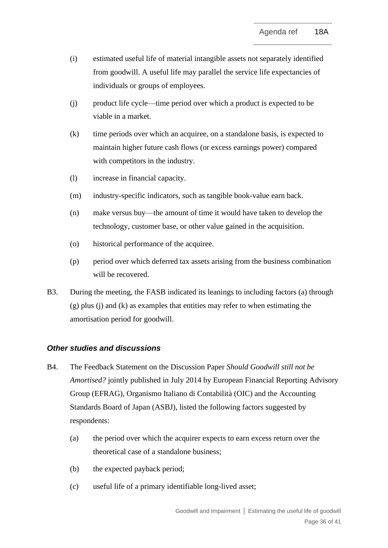- (i) estimated useful life of material intangible assets not separately identified from goodwill. A useful life may parallel the service life expectancies of individuals or groups of employees.
- (j) product life cycle—time period over which a product is expected to be viable in a market.
- (k) time periods over which an acquiree, on a standalone basis, is expected to maintain higher future cash flows (or excess earnings power) compared with competitors in the industry.
- (l) increase in financial capacity.
- (m) industry-specific indicators, such as tangible book-value earn back.
- (n) make versus buy—the amount of time it would have taken to develop the technology, customer base, or other value gained in the acquisition.
- (o) historical performance of the acquiree.
- (p) period over which deferred tax assets arising from the business combination will be recovered.
- B3. During the meeting, the FASB indicated its leanings to including factors (a) through (g) plus (j) and (k) as examples that entities may refer to when estimating the amortisation period for goodwill.

# *Other studies and discussions*

- <span id="page-35-0"></span>B4. The Feedback Statement on the Discussion Paper *Should Goodwill still not be Amortised?* jointly published in July 2014 by European Financial Reporting Advisory Group (EFRAG), Organismo Italiano di Contabilità (OIC) and the Accounting Standards Board of Japan (ASBJ), listed the following factors suggested by respondents:
	- (a) the period over which the acquirer expects to earn excess return over the theoretical case of a standalone business;
	- (b) the expected payback period;
	- (c) useful life of a primary identifiable long-lived asset;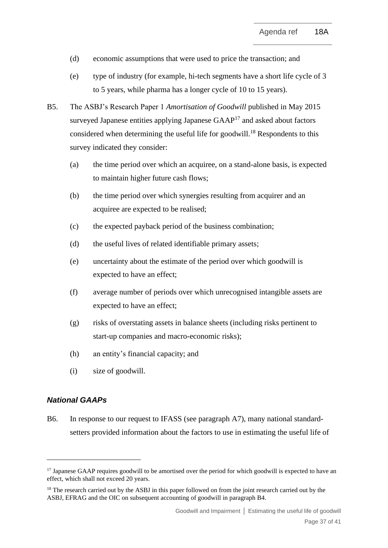- (d) economic assumptions that were used to price the transaction; and
- (e) type of industry (for example, hi-tech segments have a short life cycle of 3 to 5 years, while pharma has a longer cycle of 10 to 15 years).
- B5. The ASBJ's Research Paper 1 *Amortisation of Goodwill* published in May 2015 surveyed Japanese entities applying Japanese  $GAAP<sup>17</sup>$  and asked about factors considered when determining the useful life for goodwill.<sup>18</sup> Respondents to this survey indicated they consider:
	- (a) the time period over which an acquiree, on a stand-alone basis, is expected to maintain higher future cash flows;
	- (b) the time period over which synergies resulting from acquirer and an acquiree are expected to be realised;
	- (c) the expected payback period of the business combination;
	- (d) the useful lives of related identifiable primary assets;
	- (e) uncertainty about the estimate of the period over which goodwill is expected to have an effect;
	- (f) average number of periods over which unrecognised intangible assets are expected to have an effect;
	- (g) risks of overstating assets in balance sheets (including risks pertinent to start-up companies and macro-economic risks);
	- (h) an entity's financial capacity; and
	- (i) size of goodwill.

# *National GAAPs*

B6. In response to our request to IFASS (see paragraph [A7\)](#page-32-0), many national standardsetters provided information about the factors to use in estimating the useful life of

<sup>&</sup>lt;sup>17</sup> Japanese GAAP requires goodwill to be amortised over the period for which goodwill is expected to have an effect, which shall not exceed 20 years.

<sup>&</sup>lt;sup>18</sup> The research carried out by the ASBJ in this paper followed on from the joint research carried out by the ASBJ, EFRAG and the OIC on subsequent accounting of goodwill in paragrap[h B4.](#page-35-0)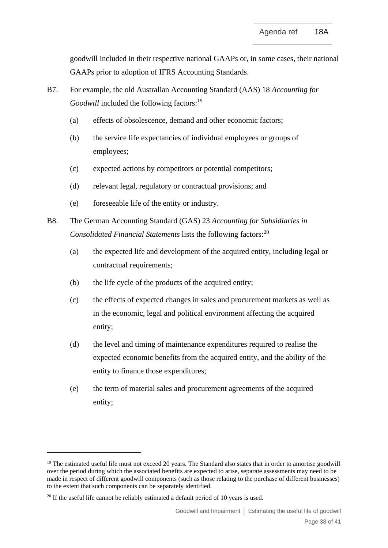goodwill included in their respective national GAAPs or, in some cases, their national GAAPs prior to adoption of IFRS Accounting Standards.

- B7. For example, the old Australian Accounting Standard (AAS) 18 *Accounting for*  Goodwill included the following factors:<sup>19</sup>
	- (a) effects of obsolescence, demand and other economic factors;
	- (b) the service life expectancies of individual employees or groups of employees;
	- (c) expected actions by competitors or potential competitors;
	- (d) relevant legal, regulatory or contractual provisions; and
	- (e) foreseeable life of the entity or industry.
- B8. The German Accounting Standard (GAS) 23 *Accounting for Subsidiaries in Consolidated Financial Statements* lists the following factors: 20
	- (a) the expected life and development of the acquired entity, including legal or contractual requirements;
	- (b) the life cycle of the products of the acquired entity;
	- (c) the effects of expected changes in sales and procurement markets as well as in the economic, legal and political environment affecting the acquired entity;
	- (d) the level and timing of maintenance expenditures required to realise the expected economic benefits from the acquired entity, and the ability of the entity to finance those expenditures;
	- (e) the term of material sales and procurement agreements of the acquired entity;

 $19$  The estimated useful life must not exceed 20 years. The Standard also states that in order to amortise goodwill over the period during which the associated benefits are expected to arise, separate assessments may need to be made in respect of different goodwill components (such as those relating to the purchase of different businesses) to the extent that such components can be separately identified.

 $20$  If the useful life cannot be reliably estimated a default period of 10 years is used.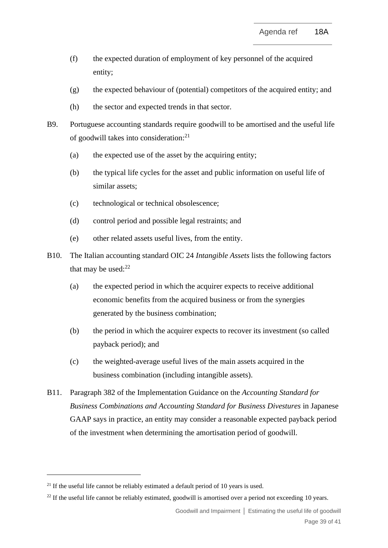- (f) the expected duration of employment of key personnel of the acquired entity;
- (g) the expected behaviour of (potential) competitors of the acquired entity; and
- (h) the sector and expected trends in that sector.
- B9. Portuguese accounting standards require goodwill to be amortised and the useful life of goodwill takes into consideration:<sup>21</sup>
	- (a) the expected use of the asset by the acquiring entity;
	- (b) the typical life cycles for the asset and public information on useful life of similar assets;
	- (c) technological or technical obsolescence;
	- (d) control period and possible legal restraints; and
	- (e) other related assets useful lives, from the entity.
- B10. The Italian accounting standard OIC 24 *Intangible Assets* lists the following factors that may be used: $22$ 
	- (a) the expected period in which the acquirer expects to receive additional economic benefits from the acquired business or from the synergies generated by the business combination;
	- (b) the period in which the acquirer expects to recover its investment (so called payback period); and
	- (c) the weighted-average useful lives of the main assets acquired in the business combination (including intangible assets).
- B11. Paragraph 382 of the Implementation Guidance on the *Accounting Standard for Business Combinations and Accounting Standard for Business Divestures* in Japanese GAAP says in practice, an entity may consider a reasonable expected payback period of the investment when determining the amortisation period of goodwill.

<sup>&</sup>lt;sup>21</sup> If the useful life cannot be reliably estimated a default period of 10 years is used.

<sup>&</sup>lt;sup>22</sup> If the useful life cannot be reliably estimated, goodwill is amortised over a period not exceeding 10 years.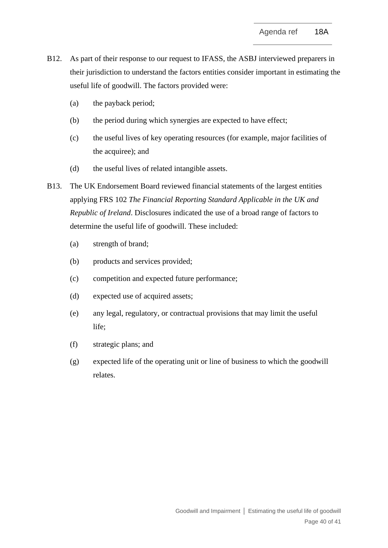- B12. As part of their response to our request to IFASS, the ASBJ interviewed preparers in their jurisdiction to understand the factors entities consider important in estimating the useful life of goodwill. The factors provided were:
	- (a) the payback period;
	- (b) the period during which synergies are expected to have effect;
	- (c) the useful lives of key operating resources (for example, major facilities of the acquiree); and
	- (d) the useful lives of related intangible assets.
- B13. The UK Endorsement Board reviewed financial statements of the largest entities applying FRS 102 *The Financial Reporting Standard Applicable in the UK and Republic of Ireland*. Disclosures indicated the use of a broad range of factors to determine the useful life of goodwill. These included:
	- (a) strength of brand;
	- (b) products and services provided;
	- (c) competition and expected future performance;
	- (d) expected use of acquired assets;
	- (e) any legal, regulatory, or contractual provisions that may limit the useful life;
	- (f) strategic plans; and
	- (g) expected life of the operating unit or line of business to which the goodwill relates.